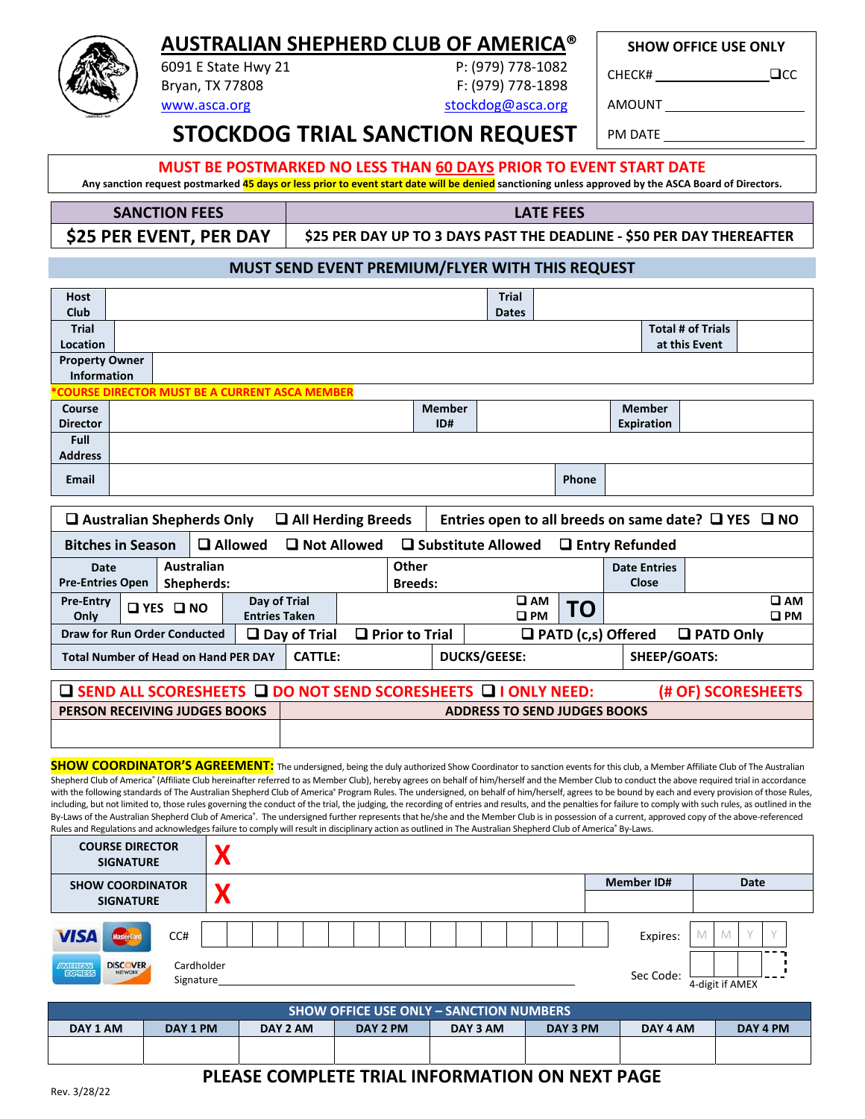### **AUSTRALIAN SHEPHERD CLUB OF AMERICA®** 6091 E State Hwy 21 P: (979) 778‐1082

**SHOW OFFICE USE ONLY**

CHECK# CHECK# CHECK

Bryan, TX 77808 F: (979) 778-1898 www.asca.org stockdog@asca.org

AMOUNT

**STOCKDOG TRIAL SANCTION REQUEST** PM DATE

### **MUST BE POSTMARKED NO LESS THAN 60 DAYS PRIOR TO EVENT START DATE**

Any sanction request postmarked 45 days or less prior to event start date will be denied sanctioning unless approved by the ASCA Board of Directors.

| <b>SANCTION FEES</b>    | LATE FEES                                                             |
|-------------------------|-----------------------------------------------------------------------|
| \$25 PER EVENT, PER DAY | \$25 PER DAY UP TO 3 DAYS PAST THE DEADLINE - \$50 PER DAY THEREAFTER |

#### **MUST SEND EVENT PREMIUM/FLYER WITH THIS REQUEST**

| <b>Host</b>           |  |                                                |               | <b>Trial</b> |       |               |                          |  |  |
|-----------------------|--|------------------------------------------------|---------------|--------------|-------|---------------|--------------------------|--|--|
| Club                  |  |                                                |               | <b>Dates</b> |       |               |                          |  |  |
| <b>Trial</b>          |  |                                                |               |              |       |               | <b>Total # of Trials</b> |  |  |
| Location              |  |                                                |               |              |       |               | at this Event            |  |  |
| <b>Property Owner</b> |  |                                                |               |              |       |               |                          |  |  |
| Information           |  |                                                |               |              |       |               |                          |  |  |
|                       |  | *COURSE DIRECTOR MUST BE A CURRENT ASCA MEMBER |               |              |       |               |                          |  |  |
| Course                |  |                                                | <b>Member</b> |              |       | <b>Member</b> |                          |  |  |
| <b>Director</b>       |  |                                                | ID#           |              |       | Expiration    |                          |  |  |
| <b>Full</b>           |  |                                                |               |              |       |               |                          |  |  |
| <b>Address</b>        |  |                                                |               |              |       |               |                          |  |  |
| <b>Email</b>          |  |                                                |               |              | Phone |               |                          |  |  |

|                                                                                                               | $\Box$ Australian Shepherds Only<br>$\Box$ All Herding Breeds<br>Entries open to all breeds on same date? $\Box$ YES $\Box$ NO |                          |                                      |                        |  |                         |  |                     |                                     |    |                              |                     |                              |
|---------------------------------------------------------------------------------------------------------------|--------------------------------------------------------------------------------------------------------------------------------|--------------------------|--------------------------------------|------------------------|--|-------------------------|--|---------------------|-------------------------------------|----|------------------------------|---------------------|------------------------------|
|                                                                                                               | <b>□</b> Allowed<br><b>Q</b> Not Allowed<br>$\Box$ Substitute Allowed<br><b>Bitches in Season</b><br>$\Box$ Entry Refunded     |                          |                                      |                        |  |                         |  |                     |                                     |    |                              |                     |                              |
| Date<br><b>Pre-Entries Open</b>                                                                               |                                                                                                                                | Australian<br>Shepherds: |                                      |                        |  | Other<br><b>Breeds:</b> |  |                     |                                     |    | <b>Date Entries</b><br>Close |                     |                              |
| <b>Pre-Entry</b><br>Only                                                                                      | <b>OYES ONO</b>                                                                                                                |                          | Day of Trial<br><b>Entries Taken</b> |                        |  |                         |  |                     | <b>Q AM</b><br>$\square$ PM         | TO |                              |                     | $\square$ AM<br>$\square$ PM |
| <b>Draw for Run Order Conducted</b>                                                                           |                                                                                                                                |                          |                                      | $\square$ Day of Trial |  | $\Box$ Prior to Trial   |  |                     |                                     |    | $\Box$ PATD (c,s) Offered    | $\Box$ PATD Only    |                              |
| <b>Total Number of Head on Hand PER DAY</b>                                                                   |                                                                                                                                |                          |                                      | <b>CATTLE:</b>         |  |                         |  | <b>DUCKS/GEESE:</b> |                                     |    |                              | <b>SHEEP/GOATS:</b> |                              |
| $\square$ SEND ALL SCORESHEETS $\square$ DO NOT SEND SCORESHEETS $\square$ I ONLY NEED:<br>(# OF) SCORESHEETS |                                                                                                                                |                          |                                      |                        |  |                         |  |                     |                                     |    |                              |                     |                              |
| <b>PERSON RECEIVING JUDGES BOOKS</b>                                                                          |                                                                                                                                |                          |                                      |                        |  |                         |  |                     | <b>ADDRESS TO SEND JUDGES BOOKS</b> |    |                              |                     |                              |

**SHOW COORDINATOR'S AGREEMENT:** The undersigned, being the duly authorized Show Coordinator to sanction events for this club, a Member Affiliate Club of The Australian Shepherd Club of America® (Affiliate Club hereinafter referred to as Member Club), hereby agrees on behalf of him/herself and the Member Club to conduct the above required trial in accordance with the following standards of The Australian Shepherd Club of America" Program Rules. The undersigned, on behalf of him/herself, agrees to be bound by each and every provision of those Rules, including, but not limited to, those rules governing the conduct of the trial, the judging, the recording of entries and results, and the penalties for failure to comply with such rules, as outlined in the By-Laws of the Australian Shepherd Club of America®. The undersigned further represents that he/she and the Member Club is in possession of a current, approved copy of the above-referenced Rules and Regulations and acknowledges failure to comply will result in disciplinary action as outlined in The Australian Shepherd Club of America® By-Laws.

| <b>COURSE DIRECTOR</b><br><b>SIGNATURE</b>                       |                         |                   |                 |
|------------------------------------------------------------------|-------------------------|-------------------|-----------------|
| <b>SHOW COORDINATOR</b>                                          |                         | <b>Member ID#</b> | Date            |
| <b>SIGNATURE</b>                                                 |                         |                   |                 |
| <b>VISA</b><br>CC#<br><b>MasterCar</b>                           |                         | Expires:          | M               |
| <b>DISCOVER</b><br><b>AMERICAN</b><br>NETWORK<br><b>EXPLIESS</b> | Cardholder<br>Signature | Sec Code:         | 4-digit if AMEX |

|          | <b>SHOW OFFICE USE ONLY - SANCTION NUMBERS</b> |          |          |          |          |          |          |  |  |
|----------|------------------------------------------------|----------|----------|----------|----------|----------|----------|--|--|
| DAY 1 AM | DAY 1 PM                                       | DAY 2 AM | DAY 2 PM | DAY 3 AM | DAY 3 PM | DAY 4 AM | DAY 4 PM |  |  |
|          |                                                |          |          |          |          |          |          |  |  |

### **PLEASE COMPLETE TRIAL INFORMATION ON NEXT PAGE**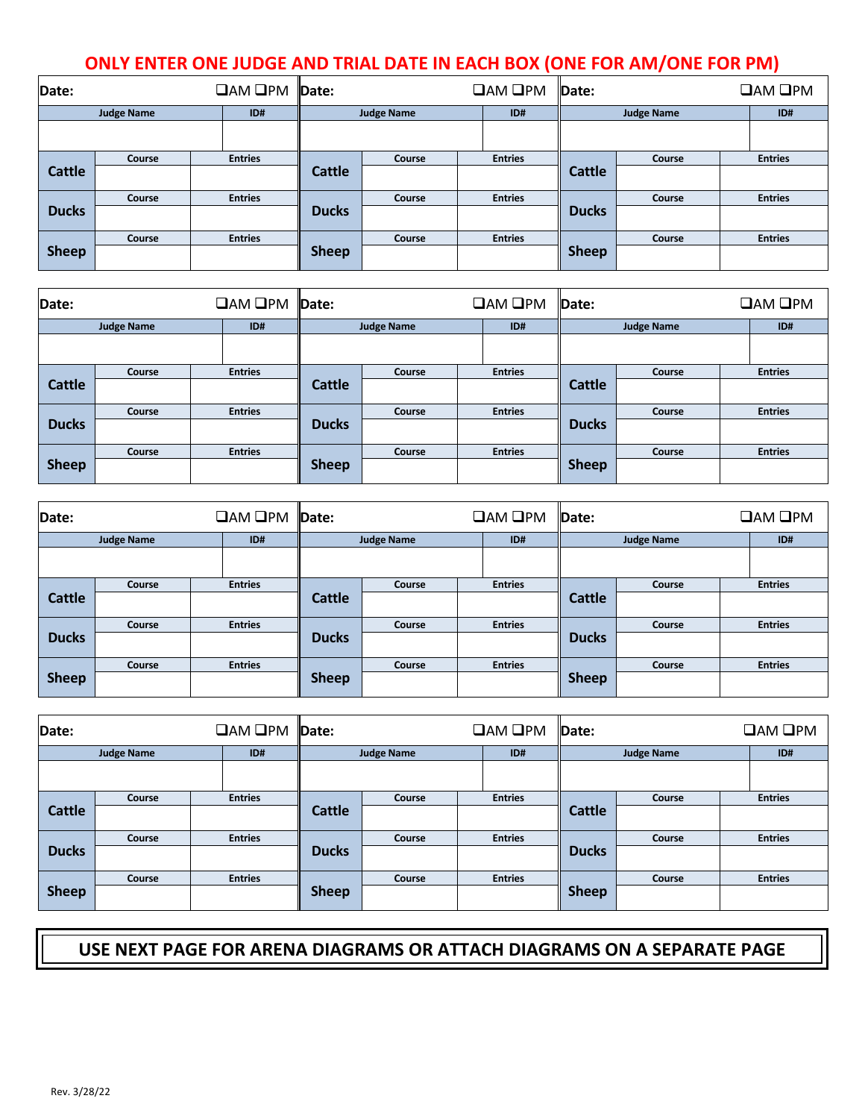# **ONLY ENTER ONE JUDGE AND TRIAL DATE IN EACH BOX (ONE FOR AM/ONE FOR PM)**

| Date:         |                   | $\Box$ AM $\Box$ PM | Date:        |                   | <b>OAM OPM</b> | Date:         |                   | $\square$ AM $\square$ PM |
|---------------|-------------------|---------------------|--------------|-------------------|----------------|---------------|-------------------|---------------------------|
|               | <b>Judge Name</b> | ID#                 |              | <b>Judge Name</b> | ID#            |               | <b>Judge Name</b> | ID#                       |
|               |                   |                     |              |                   |                |               |                   |                           |
|               | Course            | <b>Entries</b>      |              | Course            | <b>Entries</b> |               | Course            | <b>Entries</b>            |
| <b>Cattle</b> |                   |                     | Cattle       |                   |                | <b>Cattle</b> |                   |                           |
|               | Course            | <b>Entries</b>      |              | Course            | <b>Entries</b> |               | Course            | <b>Entries</b>            |
| <b>Ducks</b>  |                   |                     | <b>Ducks</b> |                   |                | <b>Ducks</b>  |                   |                           |
|               | Course            | <b>Entries</b>      |              | Course            | <b>Entries</b> |               | Course            | <b>Entries</b>            |
| <b>Sheep</b>  |                   |                     | <b>Sheep</b> |                   |                | <b>Sheep</b>  |                   |                           |

| Date:         |                   | $\Box$ AM $\Box$ PM | Date:         |                   | $\Box$ AM $\Box$ PM | Date:         |                   | $\Box$ AM $\Box$ PM |
|---------------|-------------------|---------------------|---------------|-------------------|---------------------|---------------|-------------------|---------------------|
|               | <b>Judge Name</b> | ID#                 |               | <b>Judge Name</b> | ID#                 |               | <b>Judge Name</b> | ID#                 |
|               |                   |                     |               |                   |                     |               |                   |                     |
|               | Course            | <b>Entries</b>      |               | Course            | <b>Entries</b>      |               | Course            | <b>Entries</b>      |
| <b>Cattle</b> |                   |                     | <b>Cattle</b> |                   |                     | <b>Cattle</b> |                   |                     |
|               | Course            | <b>Entries</b>      |               | Course            | <b>Entries</b>      |               | Course            | <b>Entries</b>      |
| <b>Ducks</b>  |                   |                     | <b>Ducks</b>  |                   |                     | <b>Ducks</b>  |                   |                     |
|               | <b>Course</b>     | <b>Entries</b>      |               | Course            | <b>Entries</b>      |               | Course            | <b>Entries</b>      |
| <b>Sheep</b>  |                   |                     | <b>Sheep</b>  |                   |                     | <b>Sheep</b>  |                   |                     |

| Date:         |                   | $\square$ AM $\square$ PM | Date:             |        | $\square$ AM $\square$ PM | Date:             |        |  | $\square$ AM $\square$ PM |
|---------------|-------------------|---------------------------|-------------------|--------|---------------------------|-------------------|--------|--|---------------------------|
|               | <b>Judge Name</b> | ID#                       | <b>Judge Name</b> |        | ID#                       | <b>Judge Name</b> |        |  | ID#                       |
|               |                   |                           |                   |        |                           |                   |        |  |                           |
|               | Course            | <b>Entries</b>            |                   | Course | <b>Entries</b>            |                   | Course |  | <b>Entries</b>            |
| <b>Cattle</b> |                   |                           | <b>Cattle</b>     |        |                           | <b>Cattle</b>     |        |  |                           |
|               | Course            | <b>Entries</b>            |                   | Course | <b>Entries</b>            |                   | Course |  | <b>Entries</b>            |
| <b>Ducks</b>  |                   |                           | <b>Ducks</b>      |        |                           | <b>Ducks</b>      |        |  |                           |
|               | Course            | <b>Entries</b>            |                   | Course | <b>Entries</b>            |                   | Course |  | <b>Entries</b>            |
| <b>Sheep</b>  |                   |                           | <b>Sheep</b>      |        |                           | <b>Sheep</b>      |        |  |                           |

| Date:         |                   | $\Box$ AM $\Box$ PM $\Box$ Date: |                   |        | $\square$ AM $\square$ PM | Date:             |        |  | $\Box$ AM $\Box$ PM |
|---------------|-------------------|----------------------------------|-------------------|--------|---------------------------|-------------------|--------|--|---------------------|
|               | <b>Judge Name</b> | ID#                              | <b>Judge Name</b> |        | ID#                       | <b>Judge Name</b> |        |  | ID#                 |
|               |                   |                                  |                   |        |                           |                   |        |  |                     |
|               | Course            | <b>Entries</b>                   |                   | Course | <b>Entries</b>            |                   | Course |  | <b>Entries</b>      |
| <b>Cattle</b> |                   |                                  | <b>Cattle</b>     |        |                           | <b>Cattle</b>     |        |  |                     |
|               | Course            | <b>Entries</b>                   |                   | Course | <b>Entries</b>            |                   | Course |  | <b>Entries</b>      |
| <b>Ducks</b>  |                   |                                  | <b>Ducks</b>      |        |                           | <b>Ducks</b>      |        |  |                     |
|               | <b>Course</b>     | <b>Entries</b>                   |                   | Course | <b>Entries</b>            |                   | Course |  | <b>Entries</b>      |
| <b>Sheep</b>  |                   |                                  | <b>Sheep</b>      |        |                           | <b>Sheep</b>      |        |  |                     |

## **USE NEXT PAGE FOR ARENA DIAGRAMS OR ATTACH DIAGRAMS ON A SEPARATE PAGE**